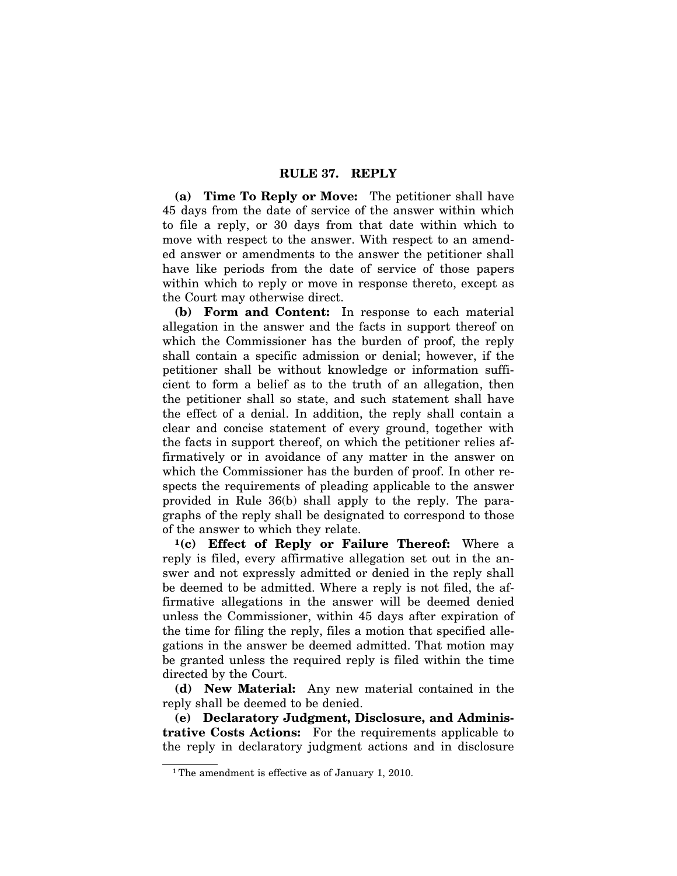## **RULE 37. REPLY**

**(a) Time To Reply or Move:** The petitioner shall have 45 days from the date of service of the answer within which to file a reply, or 30 days from that date within which to move with respect to the answer. With respect to an amended answer or amendments to the answer the petitioner shall have like periods from the date of service of those papers within which to reply or move in response thereto, except as the Court may otherwise direct.

**(b) Form and Content:** In response to each material allegation in the answer and the facts in support thereof on which the Commissioner has the burden of proof, the reply shall contain a specific admission or denial; however, if the petitioner shall be without knowledge or information sufficient to form a belief as to the truth of an allegation, then the petitioner shall so state, and such statement shall have the effect of a denial. In addition, the reply shall contain a clear and concise statement of every ground, together with the facts in support thereof, on which the petitioner relies affirmatively or in avoidance of any matter in the answer on which the Commissioner has the burden of proof. In other respects the requirements of pleading applicable to the answer provided in Rule 36(b) shall apply to the reply. The paragraphs of the reply shall be designated to correspond to those of the answer to which they relate.

**1(c) Effect of Reply or Failure Thereof:** Where a reply is filed, every affirmative allegation set out in the answer and not expressly admitted or denied in the reply shall be deemed to be admitted. Where a reply is not filed, the affirmative allegations in the answer will be deemed denied unless the Commissioner, within 45 days after expiration of the time for filing the reply, files a motion that specified allegations in the answer be deemed admitted. That motion may be granted unless the required reply is filed within the time directed by the Court.

**(d) New Material:** Any new material contained in the reply shall be deemed to be denied.

**(e) Declaratory Judgment, Disclosure, and Administrative Costs Actions:** For the requirements applicable to the reply in declaratory judgment actions and in disclosure

<sup>&</sup>lt;sup>1</sup>The amendment is effective as of January 1, 2010.